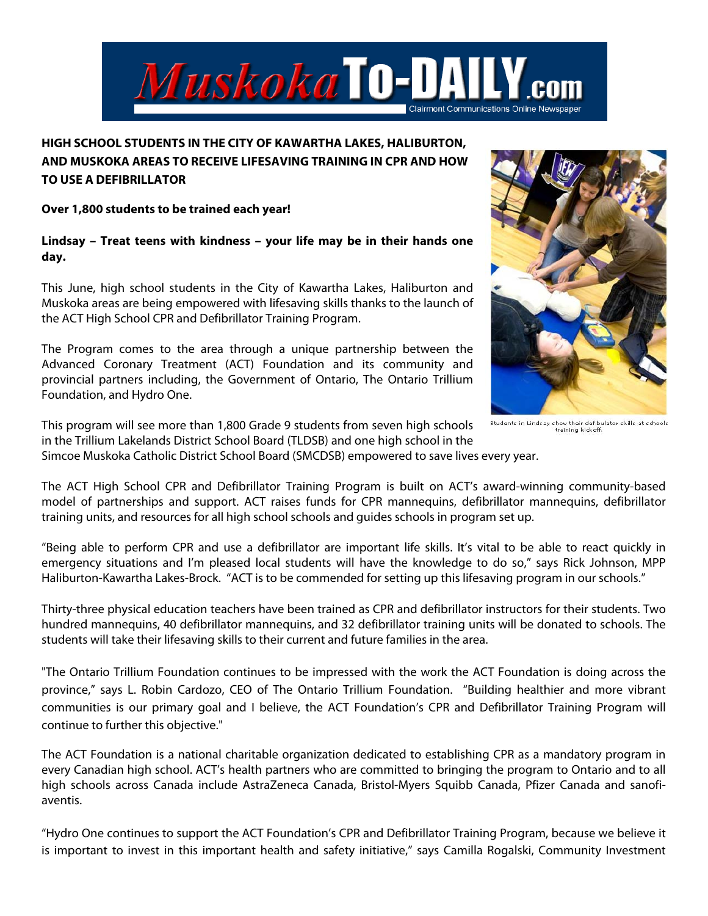

## **HIGH SCHOOL STUDENTS IN THE CITY OF KAWARTHA LAKES, HALIBURTON, AND MUSKOKA AREAS TO RECEIVE LIFESAVING TRAINING IN CPR AND HOW TO USE A DEFIBRILLATOR**

## **Over 1,800 students to be trained each year!**

**Lindsay – Treat teens with kindness – your life may be in their hands one day.** 

This June, high school students in the City of Kawartha Lakes, Haliburton and Muskoka areas are being empowered with lifesaving skills thanks to the launch of the ACT High School CPR and Defibrillator Training Program.

The Program comes to the area through a unique partnership between the Advanced Coronary Treatment (ACT) Foundation and its community and provincial partners including, the Government of Ontario, The Ontario Trillium Foundation, and Hydro One.

This program will see more than 1,800 Grade 9 students from seven high schools in the Trillium Lakelands District School Board (TLDSB) and one high school in the



Students in Lindsay show their defibulator skills at schools training kickoff.

Simcoe Muskoka Catholic District School Board (SMCDSB) empowered to save lives every year.

The ACT High School CPR and Defibrillator Training Program is built on ACT's award-winning community-based model of partnerships and support. ACT raises funds for CPR mannequins, defibrillator mannequins, defibrillator training units, and resources for all high school schools and guides schools in program set up.

"Being able to perform CPR and use a defibrillator are important life skills. It's vital to be able to react quickly in emergency situations and I'm pleased local students will have the knowledge to do so," says Rick Johnson, MPP Haliburton-Kawartha Lakes-Brock. "ACT is to be commended for setting up this lifesaving program in our schools."

Thirty-three physical education teachers have been trained as CPR and defibrillator instructors for their students. Two hundred mannequins, 40 defibrillator mannequins, and 32 defibrillator training units will be donated to schools. The students will take their lifesaving skills to their current and future families in the area.

"The Ontario Trillium Foundation continues to be impressed with the work the ACT Foundation is doing across the province," says L. Robin Cardozo, CEO of The Ontario Trillium Foundation. "Building healthier and more vibrant communities is our primary goal and I believe, the ACT Foundation's CPR and Defibrillator Training Program will continue to further this objective."

The ACT Foundation is a national charitable organization dedicated to establishing CPR as a mandatory program in every Canadian high school. ACT's health partners who are committed to bringing the program to Ontario and to all high schools across Canada include AstraZeneca Canada, Bristol-Myers Squibb Canada, Pfizer Canada and sanofiaventis.

"Hydro One continues to support the ACT Foundation's CPR and Defibrillator Training Program, because we believe it is important to invest in this important health and safety initiative," says Camilla Rogalski, Community Investment